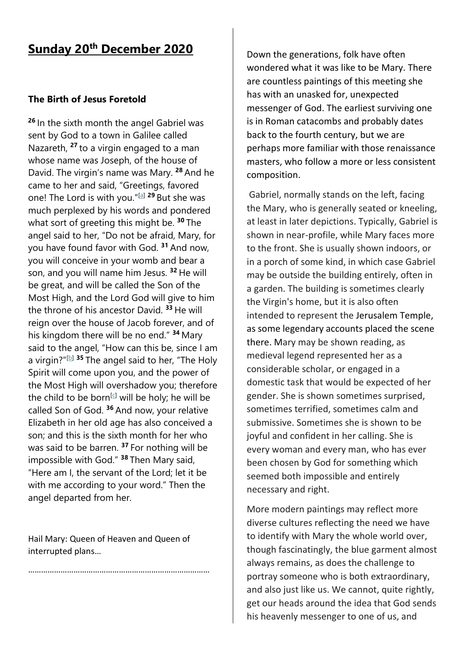## **Sunday 20th December 2020**

## **The Birth of Jesus Foretold**

**<sup>26</sup>** In the sixth month the angel Gabriel was sent by God to a town in Galilee called Nazareth, **<sup>27</sup>** to a virgin engaged to a man whose name was Joseph, of the house of David. The virgin's name was Mary. **<sup>28</sup>** And he came to her and said, "Greetings, favored one! The Lord is with you."[\[a\]](https://www.biblegateway.com/passage/?search=Luke%201%3A26-38&version=NRSV#fen-NRSV-24914a) **<sup>29</sup>** But she was much perplexed by his words and pondered what sort of greeting this might be. **<sup>30</sup>** The angel said to her, "Do not be afraid, Mary, for you have found favor with God. **<sup>31</sup>** And now, you will conceive in your womb and bear a son, and you will name him Jesus. **<sup>32</sup>** He will be great, and will be called the Son of the Most High, and the Lord God will give to him the throne of his ancestor David. **<sup>33</sup>** He will reign over the house of Jacob forever, and of his kingdom there will be no end." **<sup>34</sup>** Mary said to the angel, "How can this be, since I am a virgin?"[\[b\]](https://www.biblegateway.com/passage/?search=Luke%201%3A26-38&version=NRSV#fen-NRSV-24920b) **<sup>35</sup>** The angel said to her, "The Holy Spirit will come upon you, and the power of the Most High will overshadow you; therefore the child to be born<sup>[\[c\]](https://www.biblegateway.com/passage/?search=Luke%201%3A26-38&version=NRSV#fen-NRSV-24921c)</sup> will be holy; he will be called Son of God. **<sup>36</sup>** And now, your relative Elizabeth in her old age has also conceived a son; and this is the sixth month for her who was said to be barren. **<sup>37</sup>** For nothing will be impossible with God." **<sup>38</sup>** Then Mary said, "Here am I, the servant of the Lord; let it be with me according to your word." Then the angel departed from her.

Hail Mary: Queen of Heaven and Queen of interrupted plans…

…………………………………………………………

Down the generations, folk have often wondered what it was like to be Mary. There are countless paintings of this meeting she has with an unasked for, unexpected messenger of God. The earliest surviving one is in Roman catacombs and probably dates back to the fourth century, but we are perhaps more familiar with those renaissance masters, who follow a more or less consistent composition.

Gabriel, normally stands on the left, facing the Mary, who is generally seated or kneeling, at least in later depictions. Typically, Gabriel is shown in near-profile, while Mary faces more to the front. She is usually shown indoors, or in a porch of some kind, in which case Gabriel may be outside the building entirely, often in a garden. The building is sometimes clearly the Virgin's home, but it is also often intended to represent the [Jerusalem Temple,](https://en.wikipedia.org/wiki/Jerusalem_Temple) as some legendary accounts placed the scene there. Mary may be shown reading, as medieval legend represented her as a considerable scholar, or engaged in a domestic task that would be expected of her gender. She is shown sometimes surprised, sometimes terrified, sometimes calm and submissive. Sometimes she is shown to be joyful and confident in her calling. She is every woman and every man, who has ever been chosen by God for something which seemed both impossible and entirely necessary and right.

More modern paintings may reflect more diverse cultures reflecting the need we have to identify with Mary the whole world over, though fascinatingly, the blue garment almost always remains, as does the challenge to portray someone who is both extraordinary, and also just like us. We cannot, quite rightly, get our heads around the idea that God sends his heavenly messenger to one of us, and